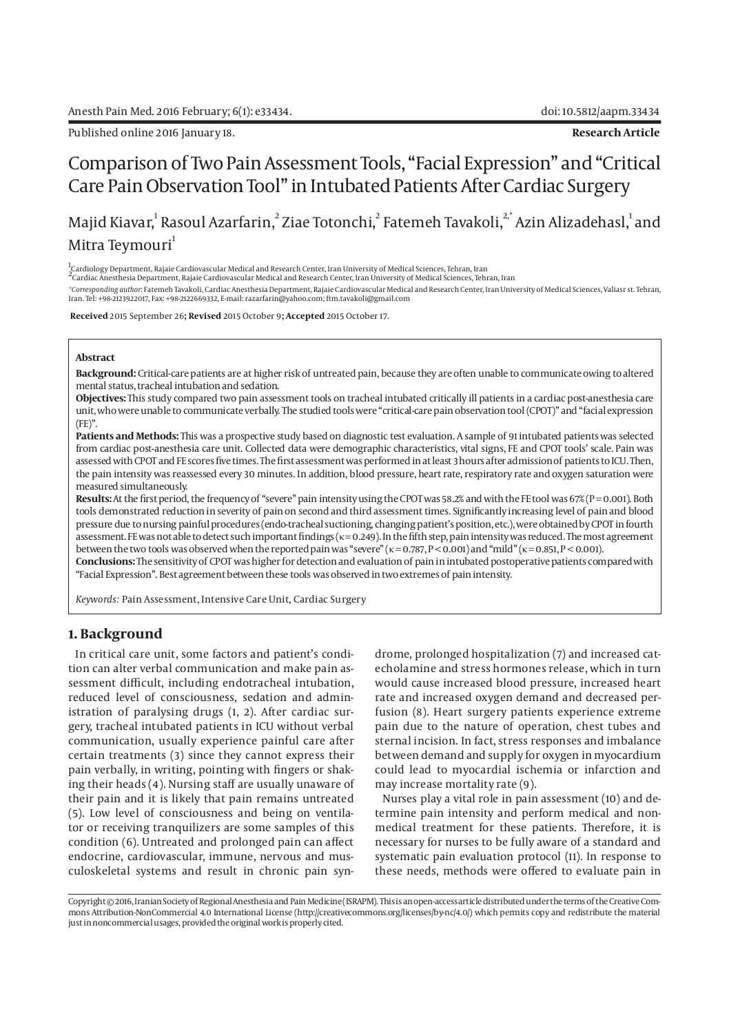Published online 2016 January 18. **Research Article** 

# Comparison of Two Pain Assessment Tools, "Facial Expression" and "Critical Care Pain Observation Tool" in Intubated Patients After Cardiac Surgery

Majid Kiavar,<sup>1</sup> Rasoul Azarfarin,<sup>2</sup> Ziae Totonchi,<sup>2</sup> Fatemeh Tavakoli,<sup>2,\*</sup> Azin Alizadehasl,<sup>1</sup> and Mitra Teymouri<sup>1</sup>

1<br><sup>1</sup>Cardiology Department, Rajaie Cardiovascular Medical and Research Center, Iran University of Medical Sciences, Tehran, Iran<br><sup>2</sup>Cardiac Anesthesia Department, Rajaie Cardiovascular Medical and Research Center, Iran Uni

*\*Corresponding author*: Fatemeh Tavakoli, Cardiac Anesthesia Department, Rajaie Cardiovascular Medical and Research Center, Iran University of Medical Sciences, Valiasr st. Tehran, Iran. Tel: +98-2123922017, Fax: +98-2122669332, E-mail: razarfarin@yahoo.com; ftm.tavakoli@gmail.com

 **Received** 2015 September 26**; Revised** 2015 October 9**; Accepted** 2015 October 17.

#### **Abstract**

**Background:** Critical-care patients are at higher risk of untreated pain, because they are often unable to communicate owing to altered mental status, tracheal intubation and sedation.

**Objectives:** This study compared two pain assessment tools on tracheal intubated critically ill patients in a cardiac post-anesthesia care unit, who were unable to communicate verbally. The studied tools were "critical-care pain observation tool (CPOT)" and "facial expression  $(FE)$ ".

**Patients and Methods:** This was a prospective study based on diagnostic test evaluation. A sample of 91 intubated patients was selected from cardiac post-anesthesia care unit. Collected data were demographic characteristics, vital signs, FE and CPOT tools' scale. Pain was assessed with CPOT and FE scores five times. The first assessment was performed in at least 3 hours after admission of patients to ICU. Then, the pain intensity was reassessed every 30 minutes. In addition, blood pressure, heart rate, respiratory rate and oxygen saturation were measured simultaneously.

Results: At the first period, the frequency of "severe" pain intensity using the CPOT was 58.2% and with the FE tool was 67% (P = 0.001). Both tools demonstrated reduction in severity of pain on second and third assessment times. Significantly increasing level of pain and blood pressure due to nursing painful procedures (endo-tracheal suctioning, changing patient's position, etc.), were obtained by CPOT in fourth assessment. FE was not able to detect such important findings (κ = 0.249). In the fifth step, pain intensity was reduced. The most agreement between the two tools was observed when the reported pain was "severe" ( $\kappa = 0.787$ ,  $P < 0.001$ ) and "mild" ( $\kappa = 0.851$ ,  $P < 0.001$ ). **Conclusions:** The sensitivity of CPOT was higher for detection and evaluation of pain in intubated postoperative patients compared with

"Facial Expression". Best agreement between these tools was observed in two extremes of pain intensity.

*Keywords:* Pain Assessment, Intensive Care Unit, Cardiac Surgery

# **1. Background**

In critical care unit, some factors and patient's condition can alter verbal communication and make pain assessment difficult, including endotracheal intubation, reduced level of consciousness, sedation and administration of paralysing drugs (1, 2). After cardiac surgery, tracheal intubated patients in ICU without verbal communication, usually experience painful care after certain treatments (3) since they cannot express their pain verbally, in writing, pointing with fingers or shaking their heads (4). Nursing staff are usually unaware of their pain and it is likely that pain remains untreated (5). Low level of consciousness and being on ventilator or receiving tranquilizers are some samples of this condition (6). Untreated and prolonged pain can affect endocrine, cardiovascular, immune, nervous and musculoskeletal systems and result in chronic pain syndrome, prolonged hospitalization (7) and increased catecholamine and stress hormones release, which in turn would cause increased blood pressure, increased heart rate and increased oxygen demand and decreased perfusion (8). Heart surgery patients experience extreme pain due to the nature of operation, chest tubes and sternal incision. In fact, stress responses and imbalance between demand and supply for oxygen in myocardium could lead to myocardial ischemia or infarction and may increase mortality rate (9).

Nurses play a vital role in pain assessment (10) and determine pain intensity and perform medical and nonmedical treatment for these patients. Therefore, it is necessary for nurses to be fully aware of a standard and systematic pain evaluation protocol (11). In response to these needs, methods were offered to evaluate pain in

Copyright © 2016, Iranian Society of Regional Anesthesia and Pain Medicine (ISRAPM). This is an open-access article distributed under the terms of the Creative Commons Attribution-NonCommercial 4.0 International License (http://creativecommons.org/licenses/by-nc/4.0/) which permits copy and redistribute the material just in noncommercial usages, provided the original work is properly cited.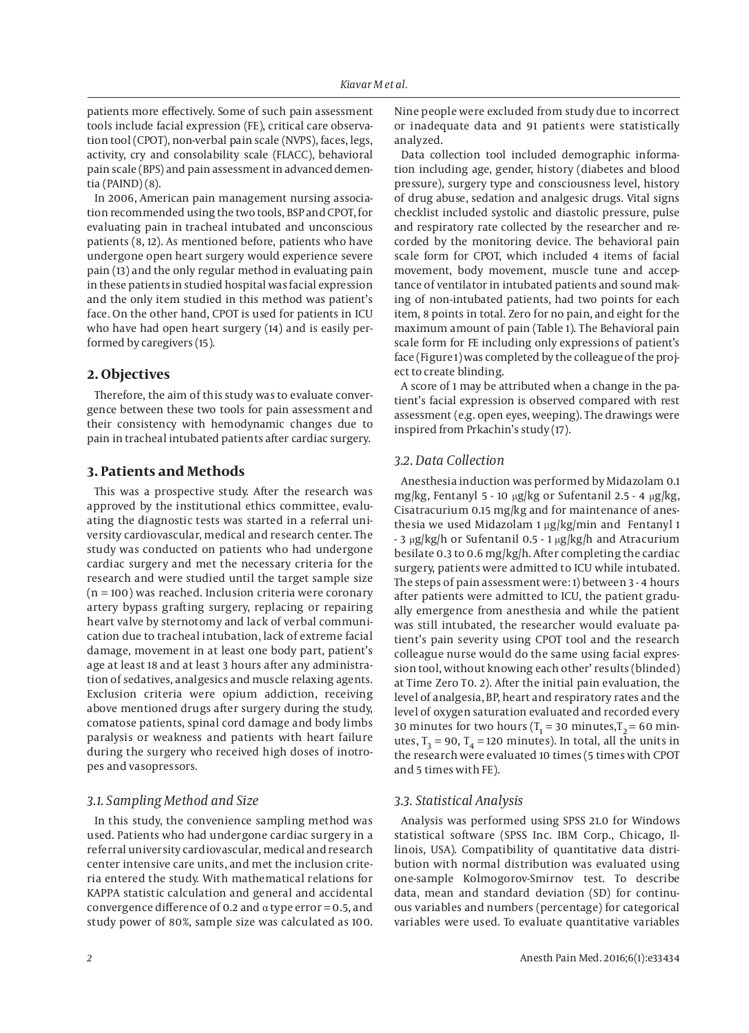patients more effectively. Some of such pain assessment tools include facial expression (FE), critical care observation tool (CPOT), non-verbal pain scale (NVPS), faces, legs, activity, cry and consolability scale (FLACC), behavioral pain scale (BPS) and pain assessment in advanced dementia (PAIND) (8).

In 2006, American pain management nursing association recommended using the two tools, BSP and CPOT, for evaluating pain in tracheal intubated and unconscious patients (8, 12). As mentioned before, patients who have undergone open heart surgery would experience severe pain (13) and the only regular method in evaluating pain in these patients in studied hospital was facial expression and the only item studied in this method was patient's face. On the other hand, CPOT is used for patients in ICU who have had open heart surgery (14) and is easily performed by caregivers (15).

# **2. Objectives**

Therefore, the aim of this study was to evaluate convergence between these two tools for pain assessment and their consistency with hemodynamic changes due to pain in tracheal intubated patients after cardiac surgery.

# **3. Patients and Methods**

This was a prospective study. After the research was approved by the institutional ethics committee, evaluating the diagnostic tests was started in a referral university cardiovascular, medical and research center. The study was conducted on patients who had undergone cardiac surgery and met the necessary criteria for the research and were studied until the target sample size (n = 100) was reached. Inclusion criteria were coronary artery bypass grafting surgery, replacing or repairing heart valve by sternotomy and lack of verbal communication due to tracheal intubation, lack of extreme facial damage, movement in at least one body part, patient's age at least 18 and at least 3 hours after any administration of sedatives, analgesics and muscle relaxing agents. Exclusion criteria were opium addiction, receiving above mentioned drugs after surgery during the study, comatose patients, spinal cord damage and body limbs paralysis or weakness and patients with heart failure during the surgery who received high doses of inotropes and vasopressors.

# *3.1. Sampling Method and Size*

In this study, the convenience sampling method was used. Patients who had undergone cardiac surgery in a referral university cardiovascular, medical and research center intensive care units, and met the inclusion criteria entered the study. With mathematical relations for KAPPA statistic calculation and general and accidental convergence difference of 0.2 and  $\alpha$  type error = 0.5, and study power of 80%, sample size was calculated as 100. Nine people were excluded from study due to incorrect or inadequate data and 91 patients were statistically analyzed.

Data collection tool included demographic information including age, gender, history (diabetes and blood pressure), surgery type and consciousness level, history of drug abuse, sedation and analgesic drugs. Vital signs checklist included systolic and diastolic pressure, pulse and respiratory rate collected by the researcher and recorded by the monitoring device. The behavioral pain scale form for CPOT, which included 4 items of facial movement, body movement, muscle tune and acceptance of ventilator in intubated patients and sound making of non-intubated patients, had two points for each item, 8 points in total. Zero for no pain, and eight for the maximum amount of pain (Table 1). The Behavioral pain scale form for FE including only expressions of patient's face (Figure 1) was completed by the colleague of the project to create blinding.

A score of 1 may be attributed when a change in the patient's facial expression is observed compared with rest assessment (e.g. open eyes, weeping). The drawings were inspired from Prkachin's study (17).

# *3.2. Data Collection*

Anesthesia induction was performed by Midazolam 0.1 mg/kg, Fentanyl 5 - 10 μg/kg or Sufentanil 2.5 - 4 μg/kg, Cisatracurium 0.15 mg/kg and for maintenance of anesthesia we used Midazolam 1 µg/kg/min and Fentanyl 1 - 3 μg/kg/h or Sufentanil 0.5 - 1 μg/kg/h and Atracurium besilate 0.3 to 0.6 mg/kg/h. After completing the cardiac surgery, patients were admitted to ICU while intubated. The steps of pain assessment were: 1) between 3 - 4 hours after patients were admitted to ICU, the patient gradually emergence from anesthesia and while the patient was still intubated, the researcher would evaluate patient's pain severity using CPOT tool and the research colleague nurse would do the same using facial expression tool, without knowing each other' results (blinded) at Time Zero T0. 2). After the initial pain evaluation, the level of analgesia, BP, heart and respiratory rates and the level of oxygen saturation evaluated and recorded every 30 minutes for two hours ( $T_1$  = 30 minutes, $T_2$  = 60 minutes,  $T_3 = 90$ ,  $T_4 = 120$  minutes). In total, all the units in the research were evaluated 10 times (5 times with CPOT and 5 times with FE).

## *3.3. Statistical Analysis*

Analysis was performed using SPSS 21.0 for Windows statistical software (SPSS Inc. IBM Corp., Chicago, Illinois, USA). Compatibility of quantitative data distribution with normal distribution was evaluated using one-sample Kolmogorov-Smirnov test. To describe data, mean and standard deviation (SD) for continuous variables and numbers (percentage) for categorical variables were used. To evaluate quantitative variables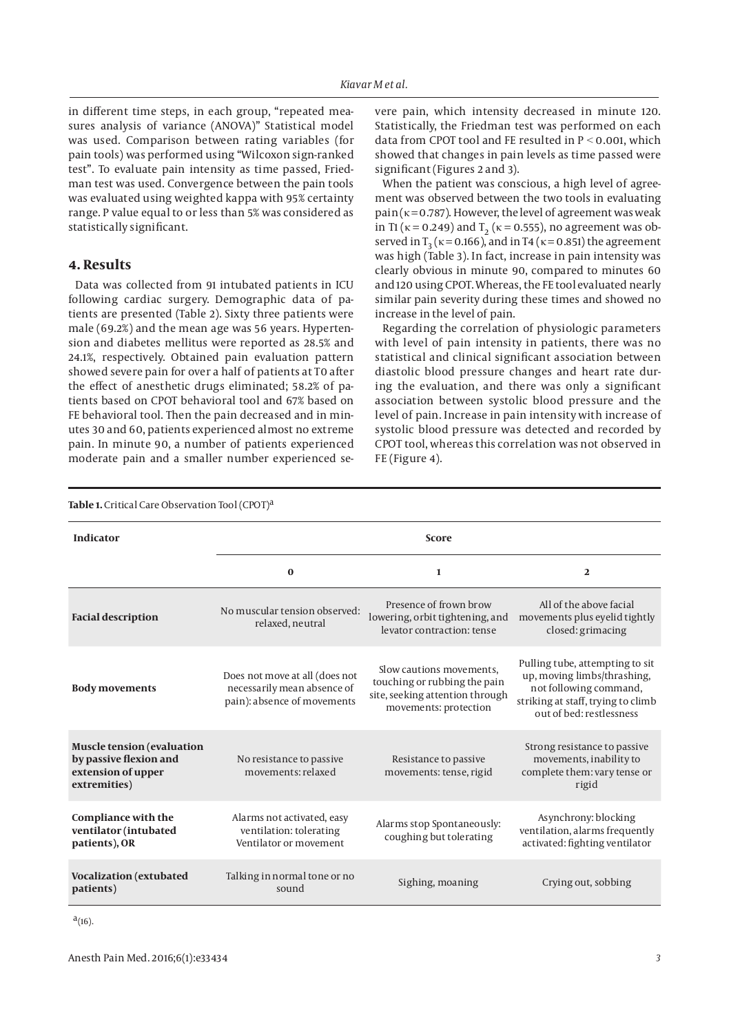in different time steps, in each group, "repeated measures analysis of variance (ANOVA)" Statistical model was used. Comparison between rating variables (for pain tools) was performed using "Wilcoxon sign-ranked test". To evaluate pain intensity as time passed, Friedman test was used. Convergence between the pain tools was evaluated using weighted kappa with 95% certainty range. P value equal to or less than 5% was considered as statistically significant.

### **4. Results**

Data was collected from 91 intubated patients in ICU following cardiac surgery. Demographic data of patients are presented (Table 2). Sixty three patients were male (69.2%) and the mean age was 56 years. Hypertension and diabetes mellitus were reported as 28.5% and 24.1%, respectively. Obtained pain evaluation pattern showed severe pain for over a half of patients at T0 after the effect of anesthetic drugs eliminated; 58.2% of patients based on CPOT behavioral tool and 67% based on FE behavioral tool. Then the pain decreased and in minutes 30 and 60, patients experienced almost no extreme pain. In minute 90, a number of patients experienced moderate pain and a smaller number experienced severe pain, which intensity decreased in minute 120. Statistically, the Friedman test was performed on each data from CPOT tool and FE resulted in  $P < 0.001$ , which showed that changes in pain levels as time passed were significant (Figures 2 and 3).

When the patient was conscious, a high level of agreement was observed between the two tools in evaluating pain ( $\kappa$  = 0.787). However, the level of agreement was weak in T1 ( $\kappa$  = 0.249) and T<sub>2</sub> ( $\kappa$  = 0.555), no agreement was observed in  $T_3$  ( $\kappa$  = 0.166), and in T4 ( $\kappa$  = 0.851) the agreement was high (Table 3). In fact, increase in pain intensity was clearly obvious in minute 90, compared to minutes 60 and 120 using CPOT. Whereas, the FE tool evaluated nearly similar pain severity during these times and showed no increase in the level of pain.

Regarding the correlation of physiologic parameters with level of pain intensity in patients, there was no statistical and clinical significant association between diastolic blood pressure changes and heart rate during the evaluation, and there was only a significant association between systolic blood pressure and the level of pain. Increase in pain intensity with increase of systolic blood pressure was detected and recorded by CPOT tool, whereas this correlation was not observed in FE (Figure 4).

| <b>Table 1.</b> Critical Care Observation Tool (CPOT) <sup>a</sup>                                |                                                                                              |                                                                                                                      |                                                                                                                                                            |  |
|---------------------------------------------------------------------------------------------------|----------------------------------------------------------------------------------------------|----------------------------------------------------------------------------------------------------------------------|------------------------------------------------------------------------------------------------------------------------------------------------------------|--|
| <b>Indicator</b>                                                                                  | <b>Score</b>                                                                                 |                                                                                                                      |                                                                                                                                                            |  |
|                                                                                                   | $\bf{0}$                                                                                     | $\mathbf{1}$                                                                                                         | $\overline{2}$                                                                                                                                             |  |
| <b>Facial description</b>                                                                         | No muscular tension observed:<br>relaxed, neutral                                            | Presence of frown brow<br>lowering, orbit tightening, and<br>levator contraction: tense                              | All of the above facial<br>movements plus eyelid tightly<br>closed: grimacing                                                                              |  |
| <b>Body movements</b>                                                                             | Does not move at all (does not<br>necessarily mean absence of<br>pain): absence of movements | Slow cautions movements,<br>touching or rubbing the pain<br>site, seeking attention through<br>movements: protection | Pulling tube, attempting to sit<br>up, moving limbs/thrashing,<br>not following command,<br>striking at staff, trying to climb<br>out of bed: restlessness |  |
| <b>Muscle tension (evaluation</b><br>by passive flexion and<br>extension of upper<br>extremities) | No resistance to passive<br>movements: relaxed                                               | Resistance to passive<br>movements: tense, rigid                                                                     | Strong resistance to passive<br>movements, inability to<br>complete them: vary tense or<br>rigid                                                           |  |
| Compliance with the<br>ventilator (intubated<br>patients), OR                                     | Alarms not activated, easy<br>ventilation: tolerating<br>Ventilator or movement              | Alarms stop Spontaneously:<br>coughing but tolerating                                                                | Asynchrony: blocking<br>ventilation, alarms frequently<br>activated: fighting ventilator                                                                   |  |
| <b>Vocalization</b> (extubated<br>patients)                                                       | Talking in normal tone or no<br>sound                                                        | Sighing, moaning                                                                                                     | Crying out, sobbing                                                                                                                                        |  |

 $a_{(16)}$ .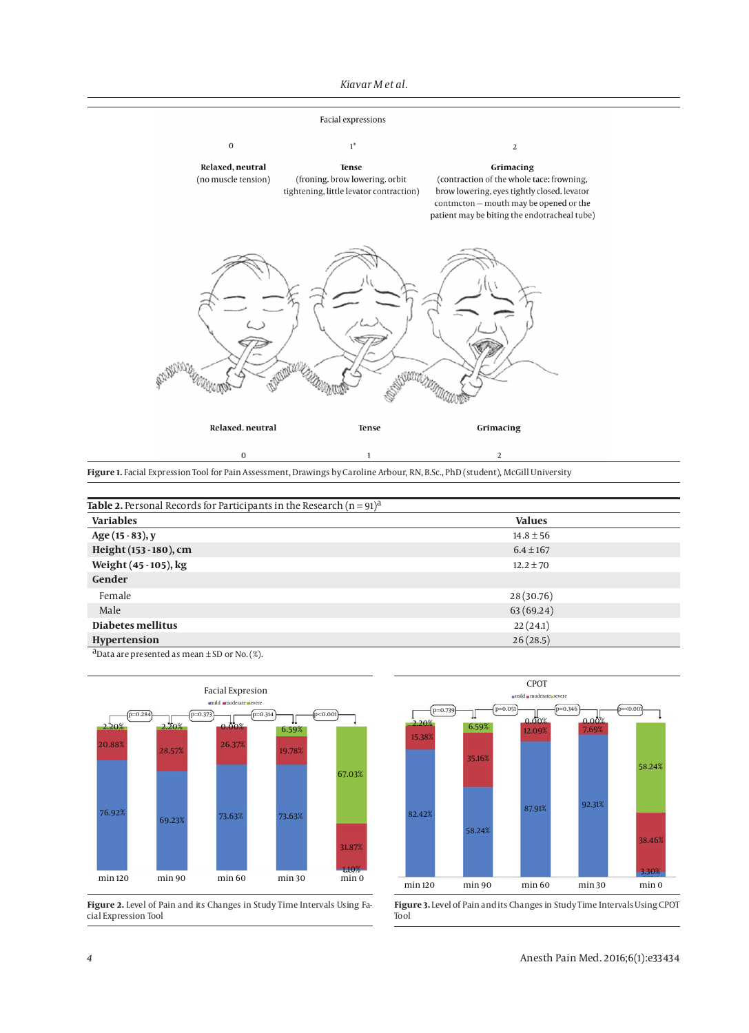#### *Kiavar M et al.*

#### Facial expressions



**Figure 1.** Facial Expression Tool for Pain Assessment, Drawings by Caroline Arbour, RN, B.Sc., PhD (student), McGill University

| <b>Table 2.</b> Personal Records for Participants in the Research $(n = 91)^{d}$ |               |  |  |  |
|----------------------------------------------------------------------------------|---------------|--|--|--|
| <b>Variables</b>                                                                 | <b>Values</b> |  |  |  |
| Age (15 - 83), y                                                                 | $14.8 \pm 56$ |  |  |  |
| Height (153 - 180), cm                                                           | $6.4 \pm 167$ |  |  |  |
| Weight (45 - 105), kg                                                            | $12.2 \pm 70$ |  |  |  |
| Gender                                                                           |               |  |  |  |
| Female                                                                           | 28 (30.76)    |  |  |  |
| Male                                                                             | 63 (69.24)    |  |  |  |
| Diabetes mellitus                                                                | 22(24.1)      |  |  |  |
| Hypertension                                                                     | 26(28.5)      |  |  |  |

 $\mathbf 1$ 

<sup>a</sup>Data are presented as mean  $\pm$  SD or No. (%).



 $\,$  0  $\,$ 

**Figure 2.** Level of Pain and its Changes in Study Time Intervals Using Facial Expression Tool



 $\sqrt{2}$ 

**Figure 3.** Level of Pain and its Changes in Study Time Intervals Using CPOT Tool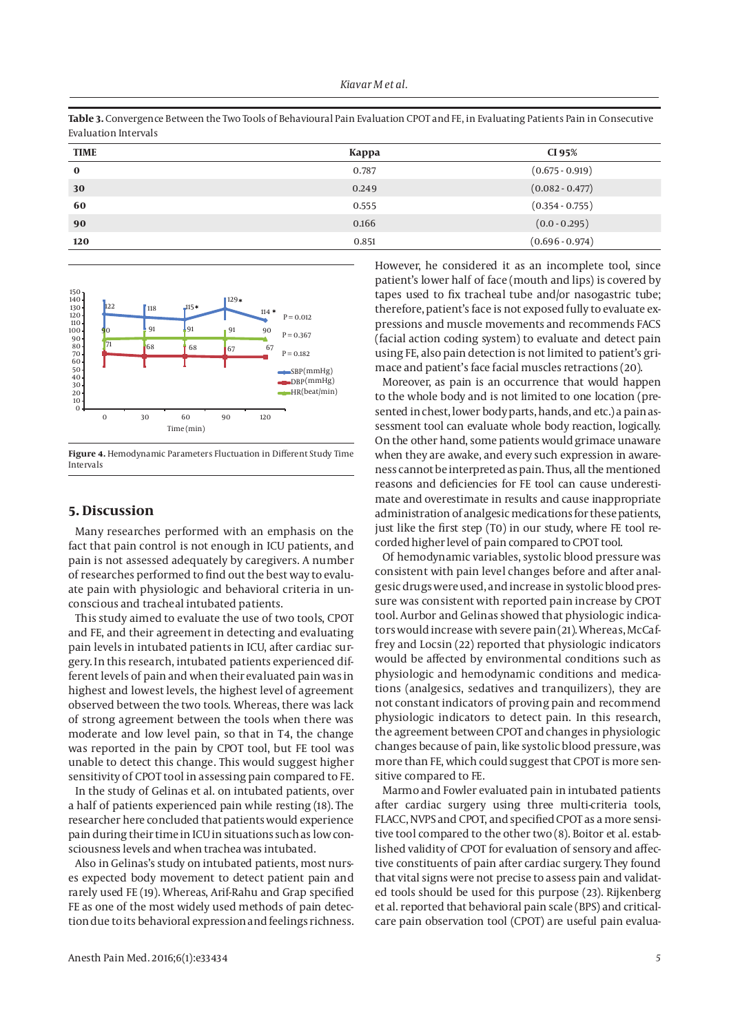**Table 3.** Convergence Between the Two Tools of Behavioural Pain Evaluation CPOT and FE, in Evaluating Patients Pain in Consecutive Evaluation Intervals

| <b>TIME</b> | Kappa | CI 95%            |
|-------------|-------|-------------------|
| $\bf{0}$    | 0.787 | $(0.675 - 0.919)$ |
| 30          | 0.249 | $(0.082 - 0.477)$ |
| 60          | 0.555 | $(0.354 - 0.755)$ |
| 90          | 0.166 | $(0.0 - 0.295)$   |
| 120         | 0.851 | $(0.696 - 0.974)$ |



**Figure 4.** Hemodynamic Parameters Fluctuation in Different Study Time Intervals

## **5. Discussion**

Many researches performed with an emphasis on the fact that pain control is not enough in ICU patients, and pain is not assessed adequately by caregivers. A number of researches performed to find out the best way to evaluate pain with physiologic and behavioral criteria in unconscious and tracheal intubated patients.

This study aimed to evaluate the use of two tools, CPOT and FE, and their agreement in detecting and evaluating pain levels in intubated patients in ICU, after cardiac surgery. In this research, intubated patients experienced different levels of pain and when their evaluated pain was in highest and lowest levels, the highest level of agreement observed between the two tools. Whereas, there was lack of strong agreement between the tools when there was moderate and low level pain, so that in T4, the change was reported in the pain by CPOT tool, but FE tool was unable to detect this change. This would suggest higher sensitivity of CPOT tool in assessing pain compared to FE.

In the study of Gelinas et al. on intubated patients, over a half of patients experienced pain while resting (18). The researcher here concluded that patients would experience pain during their time in ICU in situations such as low consciousness levels and when trachea was intubated.

Also in Gelinas's study on intubated patients, most nurses expected body movement to detect patient pain and rarely used FE (19). Whereas, Arif-Rahu and Grap specified FE as one of the most widely used methods of pain detection due to its behavioral expression and feelings richness. However, he considered it as an incomplete tool, since patient's lower half of face (mouth and lips) is covered by tapes used to fix tracheal tube and/or nasogastric tube; therefore, patient's face is not exposed fully to evaluate expressions and muscle movements and recommends FACS (facial action coding system) to evaluate and detect pain using FE, also pain detection is not limited to patient's grimace and patient's face facial muscles retractions (20).

Moreover, as pain is an occurrence that would happen to the whole body and is not limited to one location (presented in chest, lower body parts, hands, and etc.) a pain assessment tool can evaluate whole body reaction, logically. On the other hand, some patients would grimace unaware when they are awake, and every such expression in awareness cannot be interpreted as pain. Thus, all the mentioned reasons and deficiencies for FE tool can cause underestimate and overestimate in results and cause inappropriate administration of analgesic medications for these patients, just like the first step (T0) in our study, where FE tool recorded higher level of pain compared to CPOT tool.

Of hemodynamic variables, systolic blood pressure was consistent with pain level changes before and after analgesic drugs were used, and increase in systolic blood pressure was consistent with reported pain increase by CPOT tool. Aurbor and Gelinas showed that physiologic indicators would increase with severe pain (21). Whereas, McCaffrey and Locsin (22) reported that physiologic indicators would be affected by environmental conditions such as physiologic and hemodynamic conditions and medications (analgesics, sedatives and tranquilizers), they are not constant indicators of proving pain and recommend physiologic indicators to detect pain. In this research, the agreement between CPOT and changes in physiologic changes because of pain, like systolic blood pressure, was more than FE, which could suggest that CPOT is more sensitive compared to FE.

Marmo and Fowler evaluated pain in intubated patients after cardiac surgery using three multi-criteria tools, FLACC, NVPS and CPOT, and specified CPOT as a more sensitive tool compared to the other two (8). Boitor et al. established validity of CPOT for evaluation of sensory and affective constituents of pain after cardiac surgery. They found that vital signs were not precise to assess pain and validated tools should be used for this purpose (23). Rijkenberg et al. reported that behavioral pain scale (BPS) and criticalcare pain observation tool (CPOT) are useful pain evalua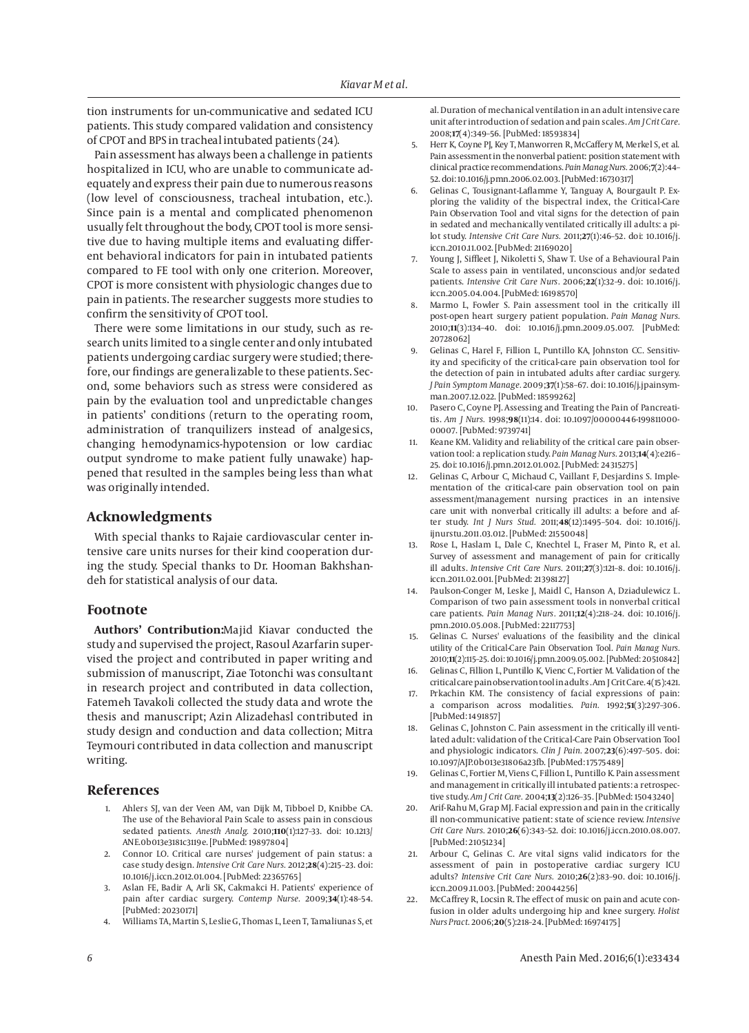tion instruments for un-communicative and sedated ICU patients. This study compared validation and consistency of CPOT and BPS in tracheal intubated patients (24).

Pain assessment has always been a challenge in patients hospitalized in ICU, who are unable to communicate adequately and express their pain due to numerous reasons (low level of consciousness, tracheal intubation, etc.). Since pain is a mental and complicated phenomenon usually felt throughout the body, CPOT tool is more sensitive due to having multiple items and evaluating different behavioral indicators for pain in intubated patients compared to FE tool with only one criterion. Moreover, CPOT is more consistent with physiologic changes due to pain in patients. The researcher suggests more studies to confirm the sensitivity of CPOT tool.

There were some limitations in our study, such as research units limited to a single center and only intubated patients undergoing cardiac surgery were studied; therefore, our findings are generalizable to these patients. Second, some behaviors such as stress were considered as pain by the evaluation tool and unpredictable changes in patients' conditions (return to the operating room, administration of tranquilizers instead of analgesics, changing hemodynamics-hypotension or low cardiac output syndrome to make patient fully unawake) happened that resulted in the samples being less than what was originally intended.

# **Acknowledgments**

With special thanks to Rajaie cardiovascular center intensive care units nurses for their kind cooperation during the study. Special thanks to Dr. Hooman Bakhshandeh for statistical analysis of our data.

### **Footnote**

**Authors' Contribution:**Majid Kiavar conducted the study and supervised the project, Rasoul Azarfarin supervised the project and contributed in paper writing and submission of manuscript, Ziae Totonchi was consultant in research project and contributed in data collection, Fatemeh Tavakoli collected the study data and wrote the thesis and manuscript; Azin Alizadehasl contributed in study design and conduction and data collection; Mitra Teymouri contributed in data collection and manuscript writing.

### **References**

- 1. Ahlers SJ, van der Veen AM, van Dijk M, Tibboel D, Knibbe CA. The use of the Behavioral Pain Scale to assess pain in conscious sedated patients. *Anesth Analg.* 2010;**110**(1):127–33. doi: 10.1213/ ANE.0b013e3181c3119e. [PubMed: 19897804]
- 2. Connor LO. Critical care nurses' judgement of pain status: a case study design. *Intensive Crit Care Nurs.* 2012;**28**(4):215–23. doi: 10.1016/j.iccn.2012.01.004. [PubMed: 22365765]
- 3. Aslan FE, Badir A, Arli SK, Cakmakci H. Patients' experience of pain after cardiac surgery. *Contemp Nurse.* 2009;**34**(1):48–54. [PubMed: 20230171]
- 4. Williams TA, Martin S, Leslie G, Thomas L, Leen T, Tamaliunas S, et

al. Duration of mechanical ventilation in an adult intensive care unit after introduction of sedation and pain scales. *Am J Crit Care.* 2008;**17**(4):349–56. [PubMed: 18593834]

- 5. Herr K, Coyne PJ, Key T, Manworren R, McCaffery M, Merkel S, et al. Pain assessment in the nonverbal patient: position statement with clinical practice recommendations. *Pain Manag Nurs.* 2006;**7**(2):44– 52. doi: 10.1016/j.pmn.2006.02.003. [PubMed: 16730317]
- 6. Gelinas C, Tousignant-Laflamme Y, Tanguay A, Bourgault P. Exploring the validity of the bispectral index, the Critical-Care Pain Observation Tool and vital signs for the detection of pain in sedated and mechanically ventilated critically ill adults: a pilot study. *Intensive Crit Care Nurs.* 2011;**27**(1):46–52. doi: 10.1016/j. iccn.2010.11.002. [PubMed: 21169020]
- 7. Young J, Siffleet J, Nikoletti S, Shaw T, Use of a Behavioural Pain Scale to assess pain in ventilated, unconscious and/or sedated patients. *Intensive Crit Care Nurs.* 2006;**22**(1):32–9. doi: 10.1016/j. iccn.2005.04.004. [PubMed: 16198570]
- 8. Marmo L, Fowler S. Pain assessment tool in the critically ill post-open heart surgery patient population. *Pain Manag Nurs.* 2010;**11**(3):134–40. doi: 10.1016/j.pmn.2009.05.007. [PubMed: 20728062]
- 9. Gelinas C, Harel F, Fillion L, Puntillo KA, Johnston CC. Sensitivity and specificity of the critical-care pain observation tool for the detection of pain in intubated adults after cardiac surgery. *J Pain Symptom Manage.* 2009;**37**(1):58–67. doi: 10.1016/j.jpainsymman.2007.12.022. [PubMed: 18599262]
- 10. Pasero C, Coyne PJ. Assessing and Treating the Pain of Pancreatitis. *Am J Nurs.* 1998;**98**(11):14. doi: 10.1097/00000446-199811000- 00007. [PubMed: 9739741]
- 11. Keane KM. Validity and reliability of the critical care pain observation tool: a replication study. *Pain Manag Nurs.* 2013;**14**(4):e216– 25. doi: 10.1016/j.pmn.2012.01.002. [PubMed: 24315275]
- 12. Gelinas C, Arbour C, Michaud C, Vaillant F, Desjardins S. Implementation of the critical-care pain observation tool on pain assessment/management nursing practices in an intensive care unit with nonverbal critically ill adults: a before and after study. *Int J Nurs Stud.* 2011;**48**(12):1495–504. doi: 10.1016/j. ijnurstu.2011.03.012. [PubMed: 21550048]
- 13. Rose L, Haslam L, Dale C, Knechtel L, Fraser M, Pinto R, et al. Survey of assessment and management of pain for critically ill adults. *Intensive Crit Care Nurs.* 2011;**27**(3):121–8. doi: 10.1016/j. iccn.2011.02.001. [PubMed: 21398127]
- 14. Paulson-Conger M, Leske J, Maidl C, Hanson A, Dziadulewicz L. Comparison of two pain assessment tools in nonverbal critical care patients. *Pain Manag Nurs.* 2011;**12**(4):218–24. doi: 10.1016/j. pmn.2010.05.008. [PubMed: 22117753]
- 15. Gelinas C. Nurses' evaluations of the feasibility and the clinical utility of the Critical-Care Pain Observation Tool. *Pain Manag Nurs.* 2010;**11**(2):115–25. doi: 10.1016/j.pmn.2009.05.002. [PubMed: 20510842]
- Gelinas C, Fillion L, Puntillo K, Vienc C, Fortier M. Validation of the critical care pain observation tool in adults . Am J Crit Care. 4(15):421.
- 17. Prkachin KM. The consistency of facial expressions of pain: a comparison across modalities. *Pain.* 1992;**51**(3):297–306. [PubMed: 1491857]
- 18. Gelinas C, Johnston C. Pain assessment in the critically ill ventilated adult: validation of the Critical-Care Pain Observation Tool and physiologic indicators. *Clin J Pain.* 2007;**23**(6):497–505. doi: 10.1097/AJP.0b013e31806a23fb. [PubMed: 17575489]
- 19. Gelinas C, Fortier M, Viens C, Fillion L, Puntillo K. Pain assessment and management in critically ill intubated patients: a retrospective study. *Am J Crit Care.* 2004;**13**(2):126–35. [PubMed: 15043240]
- 20. Arif-Rahu M, Grap MJ. Facial expression and pain in the critically ill non-communicative patient: state of science review. *Intensive Crit Care Nurs.* 2010;**26**(6):343–52. doi: 10.1016/j.iccn.2010.08.007. [PubMed: 21051234]
- Arbour C, Gelinas C. Are vital signs valid indicators for the assessment of pain in postoperative cardiac surgery ICU adults? *Intensive Crit Care Nurs.* 2010;**26**(2):83–90. doi: 10.1016/j. iccn.2009.11.003. [PubMed: 20044256]
- 22. McCaffrey R, Locsin R. The effect of music on pain and acute confusion in older adults undergoing hip and knee surgery. *Holist Nurs Pract.* 2006;**20**(5):218–24. [PubMed: 16974175]